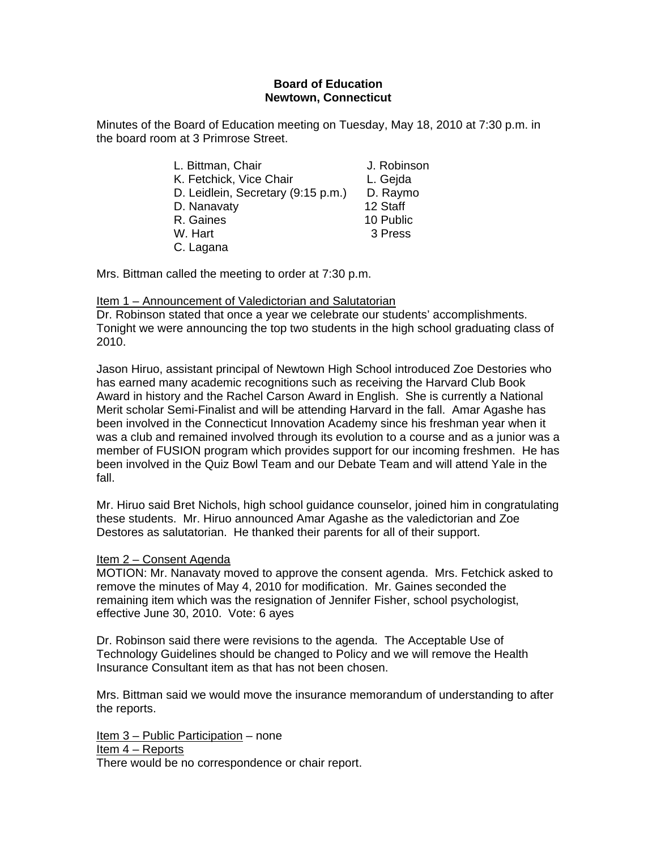# **Board of Education Newtown, Connecticut**

Minutes of the Board of Education meeting on Tuesday, May 18, 2010 at 7:30 p.m. in the board room at 3 Primrose Street.

| L. Bittman, Chair                  | J. Robinson |
|------------------------------------|-------------|
| K. Fetchick, Vice Chair            | L. Gejda    |
| D. Leidlein, Secretary (9:15 p.m.) | D. Raymo    |
| D. Nanavaty                        | 12 Staff    |
| R. Gaines                          | 10 Public   |
| W. Hart                            | 3 Press     |
| C. Lagana                          |             |

Mrs. Bittman called the meeting to order at 7:30 p.m.

# Item 1 – Announcement of Valedictorian and Salutatorian

Dr. Robinson stated that once a year we celebrate our students' accomplishments. Tonight we were announcing the top two students in the high school graduating class of 2010.

Jason Hiruo, assistant principal of Newtown High School introduced Zoe Destories who has earned many academic recognitions such as receiving the Harvard Club Book Award in history and the Rachel Carson Award in English. She is currently a National Merit scholar Semi-Finalist and will be attending Harvard in the fall. Amar Agashe has been involved in the Connecticut Innovation Academy since his freshman year when it was a club and remained involved through its evolution to a course and as a junior was a member of FUSION program which provides support for our incoming freshmen. He has been involved in the Quiz Bowl Team and our Debate Team and will attend Yale in the fall.

Mr. Hiruo said Bret Nichols, high school guidance counselor, joined him in congratulating these students. Mr. Hiruo announced Amar Agashe as the valedictorian and Zoe Destores as salutatorian. He thanked their parents for all of their support.

## Item 2 – Consent Agenda

MOTION: Mr. Nanavaty moved to approve the consent agenda. Mrs. Fetchick asked to remove the minutes of May 4, 2010 for modification. Mr. Gaines seconded the remaining item which was the resignation of Jennifer Fisher, school psychologist, effective June 30, 2010. Vote: 6 ayes

Dr. Robinson said there were revisions to the agenda. The Acceptable Use of Technology Guidelines should be changed to Policy and we will remove the Health Insurance Consultant item as that has not been chosen.

Mrs. Bittman said we would move the insurance memorandum of understanding to after the reports.

Item 3 – Public Participation – none Item 4 – Reports There would be no correspondence or chair report.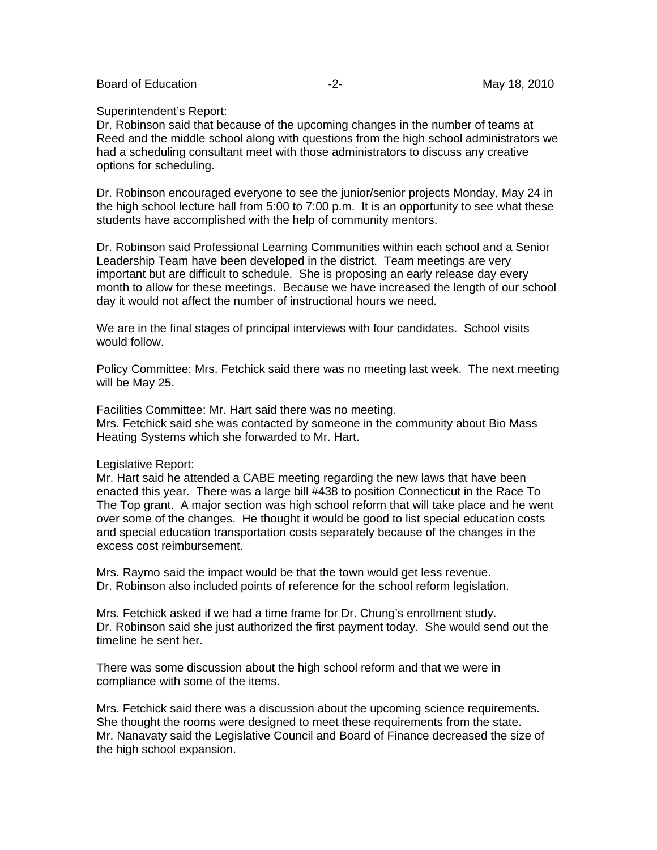Board of Education **-2-** Figure 2. The May 18, 2010

#### Superintendent's Report:

Dr. Robinson said that because of the upcoming changes in the number of teams at Reed and the middle school along with questions from the high school administrators we had a scheduling consultant meet with those administrators to discuss any creative options for scheduling.

Dr. Robinson encouraged everyone to see the junior/senior projects Monday, May 24 in the high school lecture hall from 5:00 to 7:00 p.m. It is an opportunity to see what these students have accomplished with the help of community mentors.

Dr. Robinson said Professional Learning Communities within each school and a Senior Leadership Team have been developed in the district. Team meetings are very important but are difficult to schedule. She is proposing an early release day every month to allow for these meetings. Because we have increased the length of our school day it would not affect the number of instructional hours we need.

We are in the final stages of principal interviews with four candidates. School visits would follow.

Policy Committee: Mrs. Fetchick said there was no meeting last week. The next meeting will be May 25.

Facilities Committee: Mr. Hart said there was no meeting. Mrs. Fetchick said she was contacted by someone in the community about Bio Mass Heating Systems which she forwarded to Mr. Hart.

#### Legislative Report:

Mr. Hart said he attended a CABE meeting regarding the new laws that have been enacted this year. There was a large bill #438 to position Connecticut in the Race To The Top grant. A major section was high school reform that will take place and he went over some of the changes. He thought it would be good to list special education costs and special education transportation costs separately because of the changes in the excess cost reimbursement.

Mrs. Raymo said the impact would be that the town would get less revenue. Dr. Robinson also included points of reference for the school reform legislation.

Mrs. Fetchick asked if we had a time frame for Dr. Chung's enrollment study. Dr. Robinson said she just authorized the first payment today. She would send out the timeline he sent her.

There was some discussion about the high school reform and that we were in compliance with some of the items.

Mrs. Fetchick said there was a discussion about the upcoming science requirements. She thought the rooms were designed to meet these requirements from the state. Mr. Nanavaty said the Legislative Council and Board of Finance decreased the size of the high school expansion.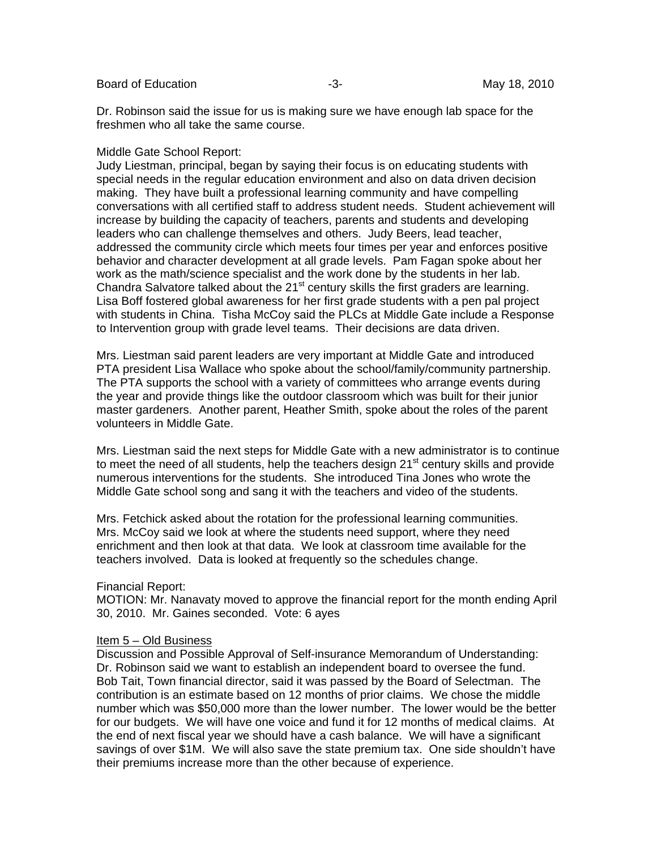Board of Education **-3**- Figure -3- May 18, 2010

Dr. Robinson said the issue for us is making sure we have enough lab space for the freshmen who all take the same course.

# Middle Gate School Report:

Judy Liestman, principal, began by saying their focus is on educating students with special needs in the regular education environment and also on data driven decision making. They have built a professional learning community and have compelling conversations with all certified staff to address student needs. Student achievement will increase by building the capacity of teachers, parents and students and developing leaders who can challenge themselves and others. Judy Beers, lead teacher, addressed the community circle which meets four times per year and enforces positive behavior and character development at all grade levels. Pam Fagan spoke about her work as the math/science specialist and the work done by the students in her lab. Chandra Salvatore talked about the  $21<sup>st</sup>$  century skills the first graders are learning. Lisa Boff fostered global awareness for her first grade students with a pen pal project with students in China. Tisha McCoy said the PLCs at Middle Gate include a Response to Intervention group with grade level teams. Their decisions are data driven.

Mrs. Liestman said parent leaders are very important at Middle Gate and introduced PTA president Lisa Wallace who spoke about the school/family/community partnership. The PTA supports the school with a variety of committees who arrange events during the year and provide things like the outdoor classroom which was built for their junior master gardeners. Another parent, Heather Smith, spoke about the roles of the parent volunteers in Middle Gate.

Mrs. Liestman said the next steps for Middle Gate with a new administrator is to continue to meet the need of all students, help the teachers design  $21<sup>st</sup>$  century skills and provide numerous interventions for the students. She introduced Tina Jones who wrote the Middle Gate school song and sang it with the teachers and video of the students.

Mrs. Fetchick asked about the rotation for the professional learning communities. Mrs. McCoy said we look at where the students need support, where they need enrichment and then look at that data. We look at classroom time available for the teachers involved. Data is looked at frequently so the schedules change.

## Financial Report:

MOTION: Mr. Nanavaty moved to approve the financial report for the month ending April 30, 2010. Mr. Gaines seconded. Vote: 6 ayes

## Item 5 – Old Business

Discussion and Possible Approval of Self-insurance Memorandum of Understanding: Dr. Robinson said we want to establish an independent board to oversee the fund. Bob Tait, Town financial director, said it was passed by the Board of Selectman. The contribution is an estimate based on 12 months of prior claims. We chose the middle number which was \$50,000 more than the lower number. The lower would be the better for our budgets. We will have one voice and fund it for 12 months of medical claims. At the end of next fiscal year we should have a cash balance. We will have a significant savings of over \$1M. We will also save the state premium tax. One side shouldn't have their premiums increase more than the other because of experience.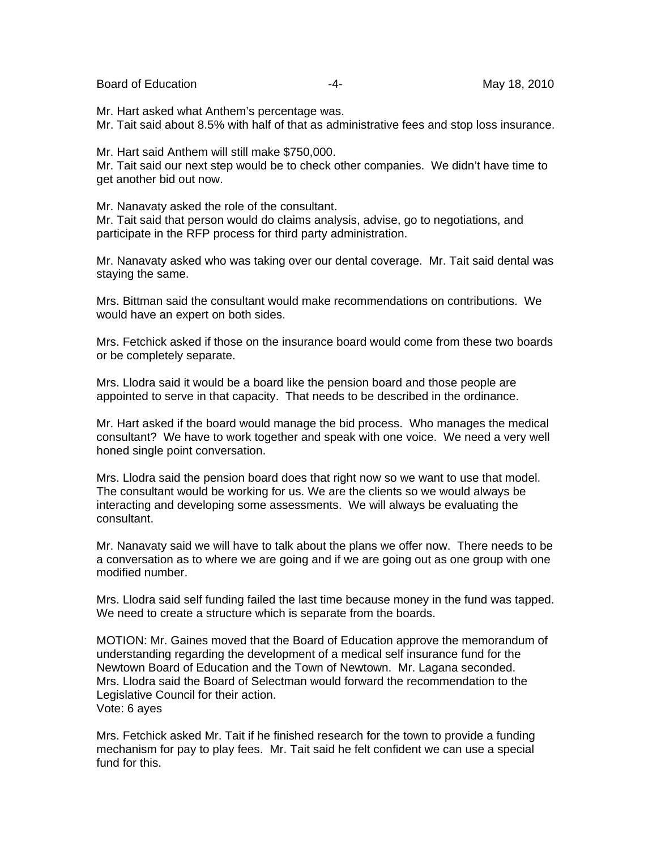Board of Education **-4-** All the May 18, 2010

Mr. Hart asked what Anthem's percentage was.

Mr. Tait said about 8.5% with half of that as administrative fees and stop loss insurance.

Mr. Hart said Anthem will still make \$750,000.

Mr. Tait said our next step would be to check other companies. We didn't have time to get another bid out now.

Mr. Nanavaty asked the role of the consultant.

Mr. Tait said that person would do claims analysis, advise, go to negotiations, and participate in the RFP process for third party administration.

Mr. Nanavaty asked who was taking over our dental coverage. Mr. Tait said dental was staying the same.

Mrs. Bittman said the consultant would make recommendations on contributions. We would have an expert on both sides.

Mrs. Fetchick asked if those on the insurance board would come from these two boards or be completely separate.

Mrs. Llodra said it would be a board like the pension board and those people are appointed to serve in that capacity. That needs to be described in the ordinance.

Mr. Hart asked if the board would manage the bid process. Who manages the medical consultant? We have to work together and speak with one voice. We need a very well honed single point conversation.

Mrs. Llodra said the pension board does that right now so we want to use that model. The consultant would be working for us. We are the clients so we would always be interacting and developing some assessments. We will always be evaluating the consultant.

Mr. Nanavaty said we will have to talk about the plans we offer now. There needs to be a conversation as to where we are going and if we are going out as one group with one modified number.

Mrs. Llodra said self funding failed the last time because money in the fund was tapped. We need to create a structure which is separate from the boards.

MOTION: Mr. Gaines moved that the Board of Education approve the memorandum of understanding regarding the development of a medical self insurance fund for the Newtown Board of Education and the Town of Newtown. Mr. Lagana seconded. Mrs. Llodra said the Board of Selectman would forward the recommendation to the Legislative Council for their action. Vote: 6 ayes

Mrs. Fetchick asked Mr. Tait if he finished research for the town to provide a funding mechanism for pay to play fees. Mr. Tait said he felt confident we can use a special fund for this.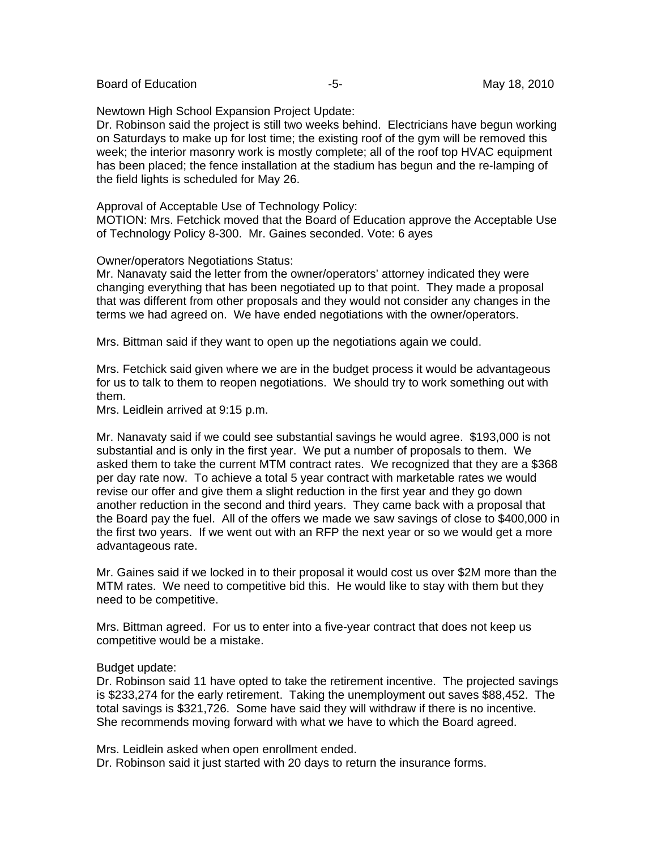Board of Education **Contract Contract Contract Contract Contract Contract Contract Contract Contract Contract Contract Contract Contract Contract Contract Contract Contract Contract Contract Contract Contract Contract Cont** 

Newtown High School Expansion Project Update:

Dr. Robinson said the project is still two weeks behind. Electricians have begun working on Saturdays to make up for lost time; the existing roof of the gym will be removed this week; the interior masonry work is mostly complete; all of the roof top HVAC equipment has been placed; the fence installation at the stadium has begun and the re-lamping of the field lights is scheduled for May 26.

Approval of Acceptable Use of Technology Policy:

MOTION: Mrs. Fetchick moved that the Board of Education approve the Acceptable Use of Technology Policy 8-300. Mr. Gaines seconded. Vote: 6 ayes

Owner/operators Negotiations Status:

Mr. Nanavaty said the letter from the owner/operators' attorney indicated they were changing everything that has been negotiated up to that point. They made a proposal that was different from other proposals and they would not consider any changes in the terms we had agreed on. We have ended negotiations with the owner/operators.

Mrs. Bittman said if they want to open up the negotiations again we could.

Mrs. Fetchick said given where we are in the budget process it would be advantageous for us to talk to them to reopen negotiations. We should try to work something out with them.

Mrs. Leidlein arrived at 9:15 p.m.

Mr. Nanavaty said if we could see substantial savings he would agree. \$193,000 is not substantial and is only in the first year. We put a number of proposals to them. We asked them to take the current MTM contract rates. We recognized that they are a \$368 per day rate now. To achieve a total 5 year contract with marketable rates we would revise our offer and give them a slight reduction in the first year and they go down another reduction in the second and third years. They came back with a proposal that the Board pay the fuel. All of the offers we made we saw savings of close to \$400,000 in the first two years. If we went out with an RFP the next year or so we would get a more advantageous rate.

Mr. Gaines said if we locked in to their proposal it would cost us over \$2M more than the MTM rates. We need to competitive bid this. He would like to stay with them but they need to be competitive.

Mrs. Bittman agreed. For us to enter into a five-year contract that does not keep us competitive would be a mistake.

#### Budget update:

Dr. Robinson said 11 have opted to take the retirement incentive. The projected savings is \$233,274 for the early retirement. Taking the unemployment out saves \$88,452. The total savings is \$321,726. Some have said they will withdraw if there is no incentive. She recommends moving forward with what we have to which the Board agreed.

Mrs. Leidlein asked when open enrollment ended.

Dr. Robinson said it just started with 20 days to return the insurance forms.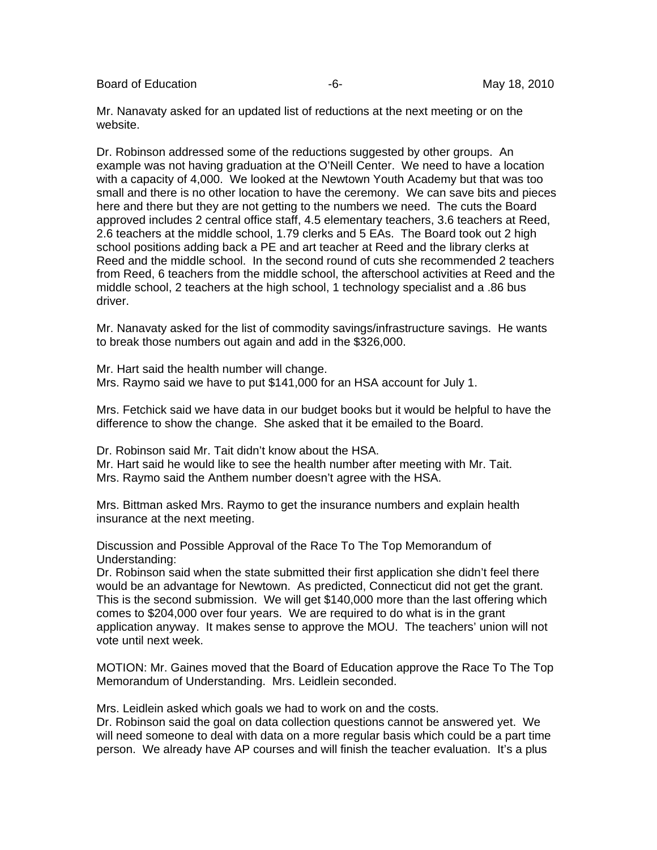Board of Education **-6-** Figure -6- The May 18, 2010

Mr. Nanavaty asked for an updated list of reductions at the next meeting or on the website.

Dr. Robinson addressed some of the reductions suggested by other groups. An example was not having graduation at the O'Neill Center. We need to have a location with a capacity of 4,000. We looked at the Newtown Youth Academy but that was too small and there is no other location to have the ceremony. We can save bits and pieces here and there but they are not getting to the numbers we need. The cuts the Board approved includes 2 central office staff, 4.5 elementary teachers, 3.6 teachers at Reed, 2.6 teachers at the middle school, 1.79 clerks and 5 EAs. The Board took out 2 high school positions adding back a PE and art teacher at Reed and the library clerks at Reed and the middle school. In the second round of cuts she recommended 2 teachers from Reed, 6 teachers from the middle school, the afterschool activities at Reed and the middle school, 2 teachers at the high school, 1 technology specialist and a .86 bus driver.

Mr. Nanavaty asked for the list of commodity savings/infrastructure savings. He wants to break those numbers out again and add in the \$326,000.

Mr. Hart said the health number will change. Mrs. Raymo said we have to put \$141,000 for an HSA account for July 1.

Mrs. Fetchick said we have data in our budget books but it would be helpful to have the difference to show the change. She asked that it be emailed to the Board.

Dr. Robinson said Mr. Tait didn't know about the HSA. Mr. Hart said he would like to see the health number after meeting with Mr. Tait. Mrs. Raymo said the Anthem number doesn't agree with the HSA.

Mrs. Bittman asked Mrs. Raymo to get the insurance numbers and explain health insurance at the next meeting.

Discussion and Possible Approval of the Race To The Top Memorandum of Understanding:

Dr. Robinson said when the state submitted their first application she didn't feel there would be an advantage for Newtown. As predicted, Connecticut did not get the grant. This is the second submission. We will get \$140,000 more than the last offering which comes to \$204,000 over four years. We are required to do what is in the grant application anyway. It makes sense to approve the MOU. The teachers' union will not vote until next week.

MOTION: Mr. Gaines moved that the Board of Education approve the Race To The Top Memorandum of Understanding. Mrs. Leidlein seconded.

Mrs. Leidlein asked which goals we had to work on and the costs.

Dr. Robinson said the goal on data collection questions cannot be answered yet. We will need someone to deal with data on a more regular basis which could be a part time person. We already have AP courses and will finish the teacher evaluation. It's a plus